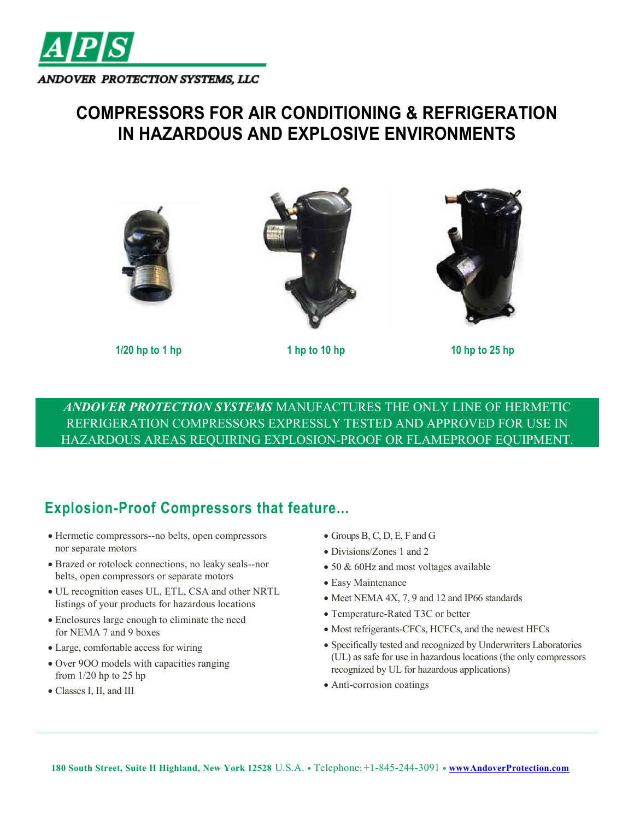

## **COMPRESSORS FOR AIR CONDITIONING & REFRIGERATION IN HAZARDOUS AND EXPLOSIVE ENVIRONMENTS**







**1/20 hp to 1 hp 1 hp to 10 hp 10 hp to 25 hp**

*ANDOVER PROTECTION SYSTEMS* MANUFACTURES THE ONLY LINE OF HERMETIC REFRIGERATION COMPRESSORS EXPRESSLY TESTED AND APPROVED FOR USE IN HAZARDOUS AREAS REQUIRING EXPLOSION-PROOF OR FLAMEPROOF EQUIPMENT.

## **Explosion-Proof Compressors that feature...**

- Hermetic compressors--no belts, open compressors nor separate motors
- Brazed or rotolock connections, no leaky seals--nor belts, open compressors or separate motors
- UL recognition eases UL, ETL, CSA and other NRTL listings of your products for hazardous locations
- Enclosures large enough to eliminate the need for NEMA 7 and 9 boxes
- Large, comfortable access for wiring
- Over 9OO models with capacities ranging from 1/20 hp to 25 hp
- Classes I, II, and III
- Groups B, C, D, E, F and G
- Divisions/Zones 1 and 2
- 50 & 60Hz and most voltages available
- Easy Maintenance
- Meet NEMA 4X, 7, 9 and 12 and IP66 standards
- Temperature-Rated T3C or better
- Most refrigerants-CFCs, HCFCs, and the newest HFCs
- Specifically tested and recognized by Underwriters Laboratories (UL) as safe for use in hazardous locations (the only compressors recognized by UL for hazardous applications)
- Anti-corrosion coatings